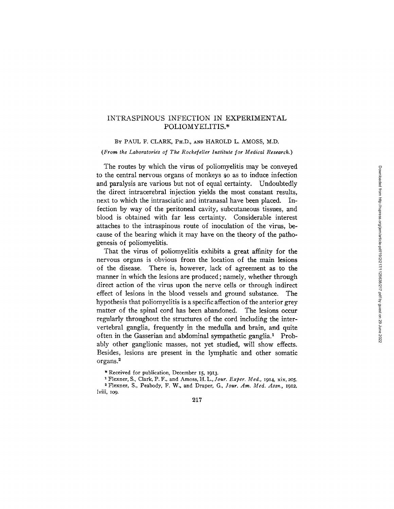# INTRASPINOUS INFECTION IN EXPERIMENTAL POLIOMYELITIS.\*

BY PAUL F. CLARK, PH.D., AND HAROLD L. AMOSS, M.D.

*(From the Laboratories of The Rockefeller Institute for Medical Research.)* 

The routes by which the virus of poliomyelitis may be conveyed to the central nervous organs of monkeys so as to induce infection and paralysis are various but not of equal certainty. Undoubtedly the direct intracerebral injection yields the most constant results, next to which the intrasciatic and intranasal have been placed. Infection by way of the peritoneal cavity, subcutaneous tissues, and blood is obtained with far less certainty. Considerable interest attaches to the intraspinous route of inoculation of the virus, because of the bearing which it may have on the theory of the pathogenesis of poliomyelitis.

That the virus of poliomyelitis exhibits a great affinity for the nervous organs is obvious from the location of the main lesions of the disease. There is, however, lack of agreement as to the manner in which the lesions are produced; namely, whether through direct action of the virus upon the nerve cells or through indirect effect of lesions in the blood vessels and ground substance. The hypothesis that poliomyelitis is a specific affection of the anterior grey matter of the spinal cord has been abandoned. The lesions occur regularly throughout the structures of the cord including the intervertebral ganglia, frequently in the medulla and brain, and quite often in the Gasserian and abdominal sympathetic ganglia.<sup>1</sup> Probably other ganglionic masses, not yet studied, will show effects. Besides, lesions are present in the lymphatic and other somatic organs. 2

<sup>\*</sup> Received for publication, December 15, 1913.

a Flexner, S., Clark, P. F., and Amoss, H. L., *]our. Exper. Med.,* 1914, xix, 205. 2 Flexner, S., Peabody, F. W., and Draper, G., *]our. Am. Med. Assn.,* 1912, lviii, 109.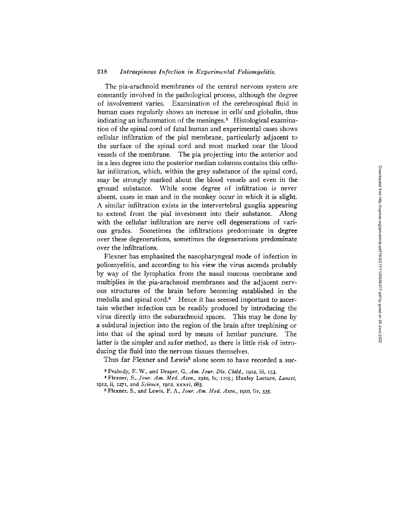### 218 *Intraspinous Infection in Experimental Poliomyelitis.*

The pia-arachnoid membranes of the central nervous system are constantly involved in the pathological process, although the degree of involvement varies. Examination of the cerebrospinal fluid in human cases regularly shows an increase in cells' and globulin, thus indicating an inflammation of the meninges.<sup>3</sup> Histological examination of the spinal cord of fatal human and experimental cases shows cellular infiltration of the pial membrane, particularly adjacent to the surface of the spinal cord and most marked near the blood vessels of the membrane. The pia projecting into the anterior and in a less degree into the posterior median columns contains this cellular infiltration, which, within the grey substance of the spinal cord, may be strongly marked about the blood vessels and even in the ground substance. While some degree of infiltration is never absent, cases in man and in the monkey occur in which it is slight. A similar infiltration exists in the intervertebral ganglia appearing to extend from the pial investment into their substance. Along with the cellular infiltration are nerve cell degenerations of various grades. Sometimes the infiltrations predominate in degree over these degenerations, sometimes the degenerations predominate over the infiltrations.

Flexner has emphasized the nasopharyngeal mode of infection in poliomyelitis, and according to his view the virus ascends probably by way of the lymphatics from the nasal mucous membrane and multiplies in the pia-arachnoid membranes and the adjacent nervous structures of the brain before becoming established in the medulla and spinal cord.<sup>4</sup> Hence it has seemed important to ascertain whether infection can be readily produced by introducing the virus directly into the subarachnoid spaces. This may be done by a subdural injection into the region of the brain after trephining or into that of the spinal cord by means of lumbar puncture. The latter is the simpler and safer method, as there is little risk of introducing the fluid into the nervous tissues themselves.

Thus far Flexner and Lewis<sup>5</sup> alone seem to have recorded a suc-

Peabody, F. W., and Draper, G., *Am. Jour. Dis. Child.,* I912, iii, I53.

aFlexner, S., *]our. Am. Med. Assn.,* I9Io, lv, Ho5; Huxley Lecture, *Lancet,*  I912, ii, *I27I ,* and *Science,* I912 , xxxvi, 685.

Flexner, S., and Lewis, P. A., *Jour. Am. Med. Assn.,* I9Io, liv, 535.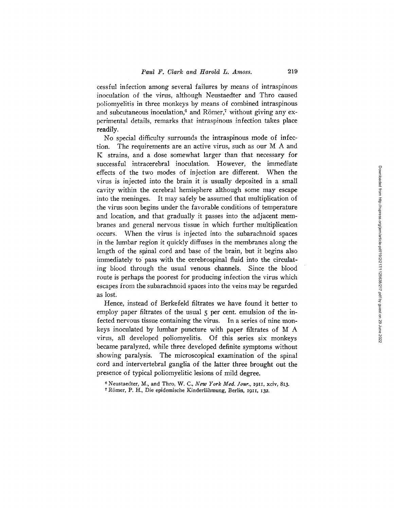cessful infection among several failures by means of intraspinous inoculation of the virus, although Neustaedter and Thro caused poliomyelitis in three monkeys by means of combined intraspinous and subcutaneous inoculation, $6$  and Römer, $7$  without giving any experimental details, remarks that intraspinous infection takes place readily.

No special difficulty surrounds the intraspinous mode of infection. The requirements are an active virus, such as our M A and K strains, and a dose somewhat larger than that necessary for successful intracerebral inoculation. However, the immediate effects of the two modes of injection are different. When the virus is injected into the brain it is usually deposited in a small cavity within the cerebral hemisphere although some may escape into the meninges. It may safely be assumed that multiplication of the virus soon begins under the favorable conditions of temperature and location, and that gradually it passes into the adjacent membranes and general nervous tissue in which further multiplication occurs. When the virus is injected into the subarachnoid spaces in the lumbar region it quickly diffuses in the membranes along the length of the spinal cord and base of the brain, but it begins also immediately to pass with the cerebrospinal fluid into the circulating blood through the usual venous channels. Since the blood route is perhaps the poorest for producing infection the virus which escapes from the subarachnoid spaces into the veins may be regarded as lost

Hence, instead of Berkefeld filtrates we have found it better to employ paper filtrates of the usual  $\zeta$  per cent. emulsion of the infected nervous tissue containing the virus. In a series of nine monkeys inoculated by lumbar puncture with paper filtrates of M A virus, all developed poliomyelitis. Of this series six monkeys became paralyzed, while three developed definite symptoms without showing paralysis. The microscopical examination of the spinal cord and intervertebral ganglia of the latter three brought out the presence of typical poliomyelitic lesions of mild degree.

s Neustaedter, M., and Thro, *W. C., New York Med. Your.,* I9II, xciv, 813.

<sup>&</sup>lt;sup>7</sup> Römer, P. H., Die epidemische Kinderlähmung, Berlin, 1911, 132.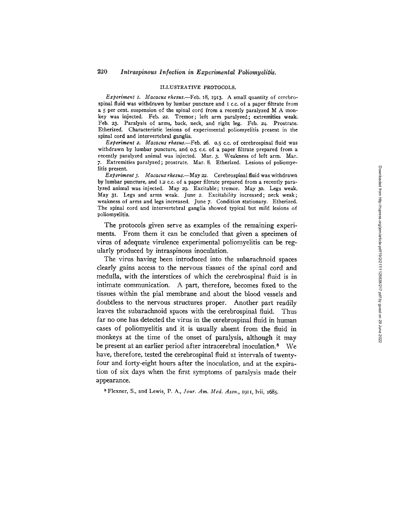#### ILLUSTRATIVE PROTOCOLS.

*Experiment I. Maeacus rhesus.--Feb.* 18, 1913. A small quantity of cerebrospinal fluid was withdrawn by lumbar puncture and I c.c. of a paper filtrate from a 5 per cent. suspension of the spinal cord from a recently paralyzed M A monkey was injected. Feb. 22. Tremor; left arm paralyzed; extremities weak. Feb. 23. Paralysis of arms, back, neck, and right leg. Feb. 24. Prostrate. Etherized. Characteristic lesions of experimental poliomyelitis present in the spinal cord and intervertebral ganglia.

*Experiment 2. Macacus rhesus.--Feb. 26.* 0.5 c.c. of cerebrospinal fluid was withdrawn by lumbar puncture, and 0.5 c.c. of a paper filtrate prepared from a recently paralyzed animal was injected. Mar. 3. Weakness of left arm. Mar. 7. Extremities paralyzed; prostrate. Mar. 8. Etherized. Lesions of poliomyelitis present.

*Experiment 3. Macaeus rhesus.--May 22.* Cerehrospinal fluid was withdrawn by lumbar puncture, and 1.2 c.c. of a paper filtrate prepared from a recently paralyzed animal was injected. May 29 . Excitable; tremor. May 3o. Legs weak. May 31. Legs and arms weak. June 2. Excitability increased; neck weak; weakness of arms and legs increased. June 7. Condition stationary. Etherized. The spinal cord and intervertebral ganglia showed typical but mild lesions of poliomyelitis.

The protocols given serve as examples of the remaining experiments. From them it can be concluded that given a specimen of virus of adequate virulence experimental poliomyelitis can be regularly produced by intraspinous inoculation.

The virus having been introduced into the subarachnoid spaces clearly gains access to the nervous tissues of the spinal cord and medulla, with the interstices of which the cerebrospinal fluid is in intimate communication. A part, therefore, becomes fixed to the tissues within the pial membrane and about the blood vessels and doubtless to the nervous structures proper. Another part readily leaves the subarachnoid spaces with the cerebrospinal fluid. Thus far no one has detected the virus in the cerebrospinal fluid in human cases of poliomyelitis and it is usually absent from the fluid in monkeys at the time of the onset of paralysis, although it may be present at an earlier period after intracerebral inoculation.<sup>8</sup> We have, therefore, tested the cerebrospinal fluid at intervals of twentyfour and forty-eight hours after the inoculation, and at the expiration of six days when the first symptoms of paralysis made their appearance.

s Flexner, S., and Lewis, P. A., *]our. Am. Med. Assn.,* 1911, lvii, 1685.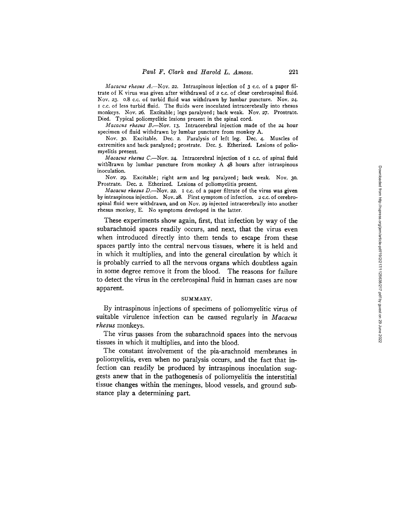*Macacus rhesus A.*-Nov. 22. Intraspinous injection of 3 c.c. of a paper filtrate of K virus was given after withdrawal of 2 c.c. of clear cerebrospinal fluid. Nov. 23. o.8 c.c. of turbid fluid was withdrawn by lumbar puncture. Nov. 24. I c.c. of less turbid fluid. The fluids were inoculated intracerebrally into rhesus monkeys. Nov. 26. Excitable; legs paralyzed; back weak. Nov. *27.* Prostrate. Died. Typical poliomyelitic lesions present in the spinal cord.

*Macacus rhesus B.*-Nov. 13. Intracerebral injection made of the 24 hour specimen of fluid withdrawn by lumbar puncture from monkey A.

Nov. 3o. Excitable. Dec. 2. Paralysis of left leg. Dec. 4. Muscles of extremities and back paralyzed; prostrate. Dec. 5. Etherized. Lesions of poliomyelitis present.

*Macacus rhesus C*.—Nov. 24. Intracerebral injection of I c.c. of spinal fluid withdrawn by lumbar puncture from monkey A 48 hours after intraspinous inoculation.

Nov. 29. Excitable; right arm and leg paralyzed; back weak. Nov. 3o. Prostrate. Dec. 2. Etherized. Lesions of poliomyelitis present.

*Macacus rhesus D.*-Nov. 22. I c.c. of a paper filtrate of the virus was given by intraspinous injection. Nov. 28. First symptom of infection. 2 c.c. of cerebrospinal fluid were withdrawn, and on Nov. 29 injected intracerebrally into another rhesus monkey, E. No symptoms developed in the latter.

These experiments show again, first, that infection by way of the subarachnoid spaces readily occurs, and next, that the virus even when introduced directly into them tends to escape from these spaces partly into the central nervous tissues, where it is held and in which it multiplies, and into the general circulation by which it is probably carried to all the nervous organs which doubtless again in some degree remove it from the blood. The reasons for failure to detect the virus in the cerebrospinal fluid in human cases are now apparent.

### SUMMARY.

By intraspinous injections of specimens of poliomyelitic virus of suitable virulence infection can be caused regularly in *Macacus rhesus* monkeys.

The virus passes from the subarachnoid spaces into the nervous tissues in which it multiplies, and into the blood.

The constant involvement of the pia-arachnoid membranes in poliomyelitis, even when no paralysis occurs, and the fact that infection can readily be produced by intraspinous inoculation suggests anew that in the pathogenesis of poliomyelitis the interstitial tissue changes within the meninges, blood vessels, and ground substance play a determining part.